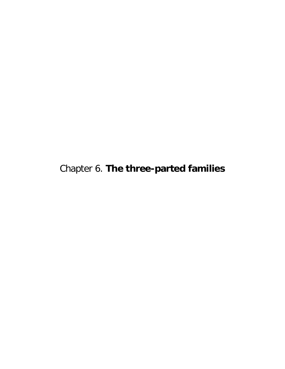Chapter 6. **The three-parted families**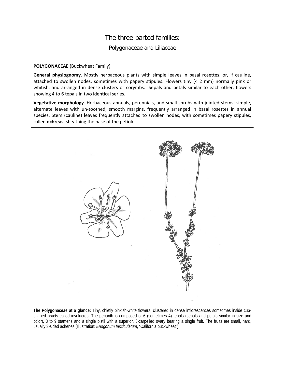## The three-parted families: Polygonaceae and Liliaceae

## **POLYGONACEAE** (Buckwheat Family)

**General physiognomy**. Mostly herbaceous plants with simple leaves in basal rosettes, or, if cauline, attached to swollen nodes, sometimes with papery stipules. Flowers tiny (< 2 mm) normally pink or whitish, and arranged in dense clusters or corymbs. Sepals and petals similar to each other, flowers showing 4 to 6 tepals in two identical series.

**Vegetative morphology**. Herbaceous annuals, perennials, and small shrubs with jointed stems; simple, alternate leaves with un-toothed, smooth margins, frequently arranged in basal rosettes in annual species. Stem (cauline) leaves frequently attached to swollen nodes, with sometimes papery stipules, called **ochreas**, sheathing the base of the petiole.

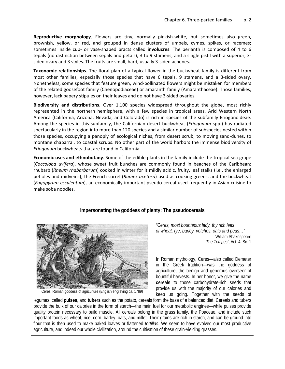**Reproductive morphology.** Flowers are tiny, normally pinkish-white, but sometimes also green, brownish, yellow, or red, and grouped in dense clusters of umbels, cymes, spikes, or racemes; sometimes inside cup- or vase-shaped bracts called **involucres**. The perianth is composed of 4 to 6 tepals (no distinction between sepals and petals), 3 to 9 stamens, and a single pistil with a superior, 3 sided ovary and 3 styles. The fruits are small, hard, usually 3-sided achenes.

**Taxonomic relationships**. The floral plan of a typical flower in the buckwheat family is different from most other families, especially those species that have 6 tepals, 9 stamens, and a 3-sided ovary. Nonetheless, some species that feature green, wind-pollinated flowers might be mistaken for members of the related goosefoot family (Chenopodiaceae) or amaranth family (Amaranthaceae). Those families, however, lack papery stipules on their leaves and do not have 3-sided ovaries.

**Biodiversity and distributions**. Over 1,100 species widespread throughout the globe, most richly represented in the northern hemisphere, with a few species in tropical areas. Arid Western North America (California, Arizona, Nevada, and Colorado) is rich in species of the subfamily Eriogonoideae. Among the species in this subfamily, the Californian desert buckwheat (*Eriogonum* spp.) has radiated spectacularly in the region into more than 120 species and a similar number of subspecies nested within those species, occupying a panoply of ecological niches, from desert scrub, to moving sand-dunes, to montane chaparral, to coastal scrubs. No other part of the world harbors the immense biodiversity of *Eriogonum* buckwheats that are found in California.

**Economic uses and ethnobotany**. Some of the edible plants in the family include the tropical sea-grape (*Coccoloba uvifera*), whose sweet fruit bunches are commonly found in beaches of the Caribbean; rhubarb (*Rheum rhabarbarum*) cooked in winter for it mildly acidic, fruity, leaf stalks (i.e., the enlarged petioles and midveins); the French sorrel (*Rumex acetosa*) used as cooking greens, and the buckwheat (*Fagopyrum esculentum*), an economically important pseudo-cereal used frequently in Asian cuisine to make soba noodles.



*of wheat, rye, barley, vetches, oats and peas…"* William Shakespeare *The Tempest*, Act 4, Sc. 1

In Roman mythology, Ceres—also called Demeter in the Greek tradition—was the goddess of agriculture, the benign and generous overseer of bountiful harvests. In her honor, we give the name **cereals** to those carbohydrate-rich seeds that provide us with the majority of our calories and keep us going. Together with the seeds of

Ceres, Roman goddess of agriculture (English engraving ca. 1789)

legumes, called **pulses**, and **tubers** such as the potato, cereals form the base of a balanced diet: Cereals and tubers provide the bulk of our calories in the form of starch—the main fuel for our metabolic engines—while pulses provide quality protein necessary to build muscle. All cereals belong in the grass family, the Poaceae, and include such important foods as wheat, rice, corn, barley, oats, and millet. Their grains are rich in starch, and can be ground into flour that is then used to make baked loaves or flattened *tortillas*. We seem to have evolved our most productive agriculture, and indeed our whole civilization, around the cultivation of these grain-yielding grasses.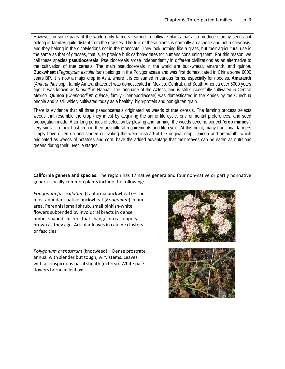However, in some parts of the world early farmers learned to cultivate plants that also produce starchy seeds but belong in families quite distant from the grasses. The fruit of these plants is normally an achene and not a caryopsis, and they belong in the dicotyledons not in the monocots. They look nothing like a grass, but their agricultural use is the same as that of grasses, that is, to provide bulk carbohydrates for humans consuming them. For this reason, we call these species **pseudocereals**, Pseudocereals arose independently in different civilizations as an alternative to the cultivation of true cereals. The main pseudocereals in the world are buckwheat, amaranth, and quinoa. **Buckwheat** (*Fagopyrum esculentum*) belongs in the Polygonaceae and was first domesticated in China some 6000 years BP. It is now a major crop in Asia, where it is consumed in various forms, especially for noodles. **Amaranth** (*Amaranthus* spp., family Amaranthaceae) was domesticated in Mexico, Central, and South America over 5000 years ago. It was known as *huauhtli* in Nahuatl, the language of the Aztecs, and is still successfully cultivated in Central Mexico. **Quinoa** (*Chenopodium quinoa*, family Chenopodiaceae) was domesticated in the Andes by the Quechua people and is still widely cultivated today as a healthy, high-protein and non-gluten grain.

There is evidence that all three pseudocereals originated as weeds of true cereals. The farming process selects weeds that resemble the crop they infest by acquiring the same life cycle, environmental preferences, and seed propagation mode. After long periods of selection by plowing and farming, the weeds become perfect "**crop mimics**", very similar to their host crop in their agricultural requirements and life cycle. At this point, many traditional farmers simply have given up and started cultivating the weed instead of the original crop. Quinoa and amaranth, which originated as weeds of potatoes and corn, have the added advantage that their leaves can be eaten as nutritious greens during their juvenile stages.

**California genera and species**. The region has 17 native genera and four non-native or partly nonnative genera. Locally common plants include the following:

*Eriogonum fasciculatum* (California buckwheat) – The most abundant native buckwheat (*Eriogonum*) in our area. Perennial small shrub, small pinkish-white flowers subtended by involucral bracts in dense umbel-shaped clusters that change into a coppery brown as they age. Acicular leaves in cauline clusters or fascicles.

*Polygonum arenastrum* (knotweed) – Dense prostrate annual with slender but tough, wiry stems. Leaves with a conspicuous basal sheath (ochrea). White pale flowers borne in leaf axils.



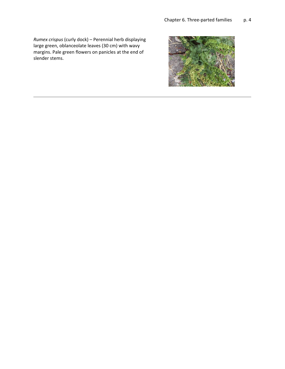*Rumex crispus* (curly dock) – Perennial herb displaying large green, oblanceolate leaves (30 cm) with wavy margins. Pale green flowers on panicles at the end of slender stems.

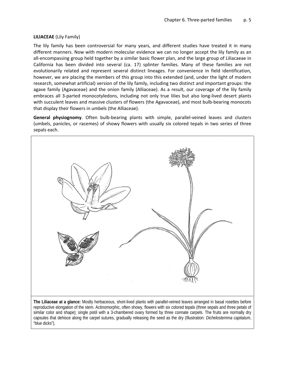## **LILlACEAE** (Lily Family)

The lily family has been controversial for many years, and different studies have treated it in many different manners. Now with modern molecular evidence we can no longer accept the lily family as an all-encompassing group held together by a similar basic flower plan, and the large group of Liliacaeae in California has been divided into several (ca. 17) splinter families. Many of these families are not evolutionarily related and represent several distinct lineages. For convenience in field identification, however, we are placing the members of this group into this extended (and, under the light of modern research, somewhat artificial) version of the lily family, including two distinct and important groups: the agave family (Agavaceae) and the onion family (Alliaceae). As a result, our coverage of the lily family embraces all 3-parted monocotyledons, including not only true lilies but also long-lived desert plants with succulent leaves and massive clusters of flowers (the Agavaceae), and most bulb-bearing monocots that display their flowers in umbels (the Alliaceae).

**General physiognomy**. Often bulb-bearing plants with simple, parallel-veined leaves and clusters (umbels, panicles, or racemes) of showy flowers with usually six colored tepals in two series of three sepals each.



reproductive elongation of the stem. Actinomorphic, often showy, flowers with six colored tepals (three sepals and three petals of similar color and shape); single pistil with a 3-chambered ovary formed by three connate carpels. The fruits are normally dry capsules that dehisce along the carpel sutures, gradually releasing the seed as the dry (Illustration: *Dichelostemma capitatum*, "blue dicks").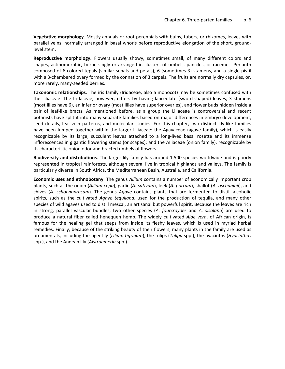**Vegetative morphology**. Mostly annuals or root-perennials with bulbs, tubers, or rhizomes, leaves with parallel veins, normally arranged in basal whorls before reproductive elongation of the short, groundlevel stem.

**Reproductive morphology.** Flowers usually showy, sometimes small, of many different colors and shapes, actinomorphic, borne singly or arranged in clusters of umbels, panicles, or racemes. Perianth composed of 6 colored tepals (similar sepals and petals), 6 (sometimes 3) stamens, and a single pistil with a 3-chambered ovary formed by the connation of 3 carpels. The fruits are normally dry capsules, or, more rarely, many-seeded berries.

**Taxonomic relationships**. The iris family (Iridaceae, also a monocot) may be sometimes confused with the Liliaceae. The Iridaceae, however, differs by having lanceolate (sword-shaped) leaves, 3 stamens (most lilies have 6), an inferior ovary (most lilies have superior ovaries), and flower buds hidden inside a pair of leaf-like bracts. As mentioned before, as a group the Liliaceae is controversial and recent botanists have split it into many separate families based on major differences in embryo development, seed details, leaf-vein patterns, and molecular studies. For this chapter, two distinct lily-like families have been lumped together within the larger Liliaceae: the Agavaceae (agave family), which is easily recognizable by its large, succulent leaves attached to a long-lived basal rosette and its immense inflorescences in gigantic flowering stems (or scapes); and the AIliaceae (onion family), recognizable by its characteristic onion odor and bracted umbels of flowers.

**Biodiversity and distributions**. The larger lily family has around 1,500 species worldwide and is poorly represented in tropical rainforests, although several live in tropical highlands and valleys. The family is particularly diverse in South Africa, the Mediterranean Basin, Australia, and California.

**Economic uses and ethnobotany**. The genus *Allium* contains a number of economically important crop plants, such as the onion (*Allium cepa*), garlic (*A. sativum*), leek (*A. porrum*), shallot (*A. oschaninii*), and chives (*A. schoenoprasum*). The genus *Agave* contains plants that are fermented to distill alcoholic spirits, such as the cultivated *Agave tequilana*, used for the production of tequila, and many other species of wild agaves used to distill mescal, an artisanal but powerful spirit. Because the leaves are rich in strong, parallel vascular bundles, two other species (*A. fourcroydes* and *A. sisalana*) are used to produce a natural fiber called henequen hemp. The widely cultivated *Aloe vera*, of African origin, is famous for the healing gel that seeps from inside its fleshy leaves, which is used in myriad herbal remedies. Finally, because of the striking beauty of their flowers, many plants in the family are used as ornamentals, including the tiger lily (*Lilium tigrinum*), the tulips (*Tulipa* spp.), the hyacinths (*Hyacinthus* spp.), and the Andean lily (*Alstroemeria* spp.).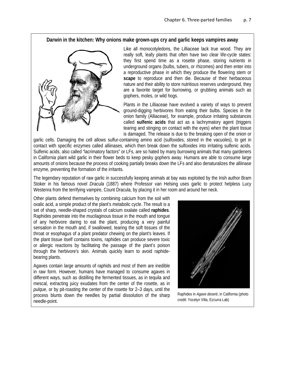## **Darwin in the kitchen: Why onions make grown-ups cry and garlic keeps vampires away**



Like all monocotyledons, the Lilliaceae lack true wood. They are really soft, leafy plants that often have two clear life-cycle states: they first spend time as a rosette phase, storing nutrients in underground organs (bulbs, tubers, or rhizomes) and then enter into a reproductive phase in which they produce the flowering stem or **scape** to reproduce and then die. Because of their herbaceous nature and their ability to store nutritious reserves underground, they are a favorite target for burrowing, or grubbing animals such as gophers, moles, or wild hogs.

Plants in the Lilliaceae have evolved a variety of ways to prevent ground-digging herbivores from eating their bulbs. Species in the onion family (Alliaceae), for example, produce irritating substances called **sulfenic acids** that act as a lachrymatory agent (triggers tearing and stinging on contact with the eyes) when the plant tissue is damaged. The release is due to the breaking open of the onion or

garlic cells. Damaging the cell allows sulfur-containing amino acid (sulfoxides, stored in the vacuoles), to get in contact with specific enzymes called alliinases, which then break down the sulfoxides into irritating sulfenic acids. Sulfenic acids, also called "lacrimatory factors" or LFs, are so hated by many burrowing animals that many gardeners in California plant wild garlic in their flower beds to keep pesky gophers away. Humans are able to consume large amounts of onions because the process of cooking partially breaks down the LFs and also denaturalizes the alliinase enzyme, preventing the formation of the irritants.

The legendary reputation of raw garlic in successfully keeping animals at bay was exploited by the Irish author Bram Stoker in his famous novel *Dracula* (1887) where Professor van Helsing uses garlic to protect helpless Lucy Westenra from the terrifying vampire, Count Dracula, by placing it in her room and around her neck.

Other plants defend themselves by combining calcium from the soil with oxalic acid, a simple product of the plant's metabolic cycle. The result is a set of sharp, needle-shaped crystals of calcium oxalate called **raphides**. Raphides penetrate into the mucilaginous tissue in the mouth and tongue of any herbivore daring to eat the plant, producing a very painful sensation in the mouth and, if swallowed, tearing the soft tissues of the throat or esophagus of a plant predator chewing on the plant's leaves. If the plant tissue itself contains toxins, raphides can produce severe toxic or allergic reactions by facilitating the passage of the plant's poison through the herbivore's skin. Animals quickly learn to avoid raphidebearing plants.

Agaves contain large amounts of raphids and most of them are inedible in raw form. However, humans have managed to consume agaves in different ways, such as distilling the fermented tissues, as in tequila and mescal, extracting juicy exudates from the center of the rosette, as in *pulque*, or by pit-roasting the center of the rosette for 2–3 days, until the process blunts down the needles by partial dissolution of the sharp needle-point.



Raphides in *Agave deserti*, in California (photo credit: Yocelyn Villa, Ezcurra Lab)